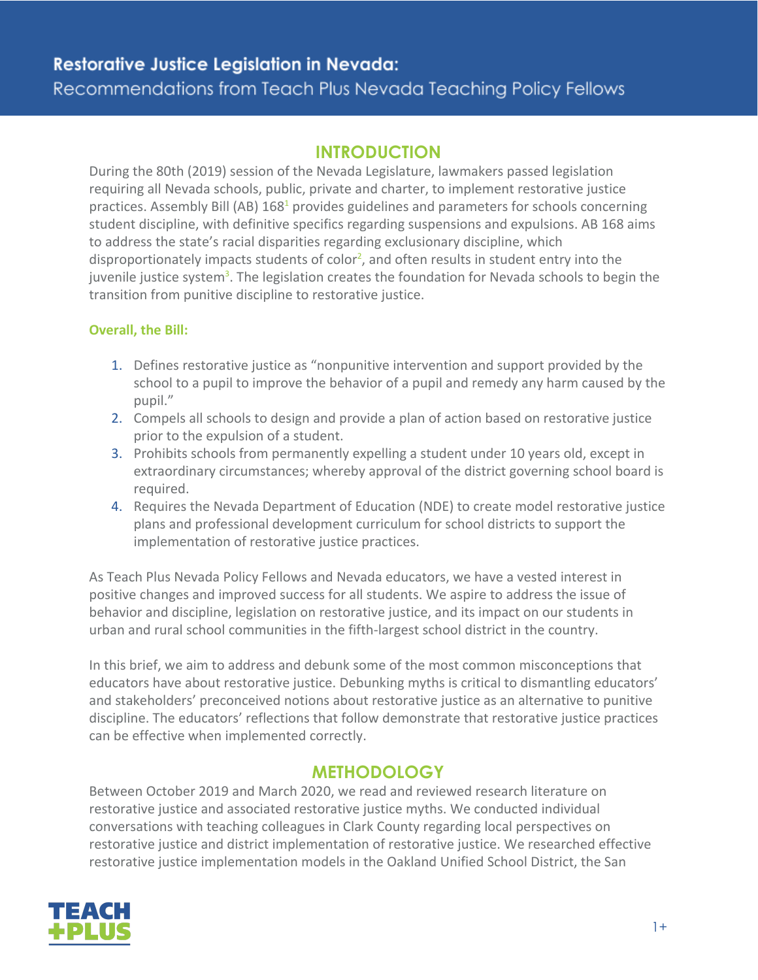# **Restorative Justice Legislation in Nevada:**

# Recommendations from Teach Plus Nevada Teaching Policy Fellows

## **INTRODUCTION**

During the 80th (2019) session of the Nevada Legislature, lawmakers passed legislation requiring all Nevada schools, public, private and charter, to implement restorative justice practices. Assembly Bill (AB) 168<sup>1</sup> provides guidelines and parameters for schools concerning student discipline, with definitive specifics regarding suspensions and expulsions. AB 168 aims to address the state's racial disparities regarding exclusionary discipline, which disproportionately impacts students of color<sup>2</sup>, and often results in student entry into the juvenile justice system<sup>3</sup>. The legislation creates the foundation for Nevada schools to begin the transition from punitive discipline to restorative justice.

### **Overall, the Bill:**

- 1. Defines restorative justice as "nonpunitive intervention and support provided by the school to a pupil to improve the behavior of a pupil and remedy any harm caused by the pupil."
- 2. Compels all schools to design and provide a plan of action based on restorative justice prior to the expulsion of a student.
- 3. Prohibits schools from permanently expelling a student under 10 years old, except in extraordinary circumstances; whereby approval of the district governing school board is required.
- 4. Requires the Nevada Department of Education (NDE) to create model restorative justice plans and professional development curriculum for school districts to support the implementation of restorative justice practices.

As Teach Plus Nevada Policy Fellows and Nevada educators, we have a vested interest in positive changes and improved success for all students. We aspire to address the issue of behavior and discipline, legislation on restorative justice, and its impact on our students in urban and rural school communities in the fifth-largest school district in the country.

In this brief, we aim to address and debunk some of the most common misconceptions that educators have about restorative justice. Debunking myths is critical to dismantling educators' and stakeholders' preconceived notions about restorative justice as an alternative to punitive discipline. The educators' reflections that follow demonstrate that restorative justice practices can be effective when implemented correctly.

# **METHODOLOGY**

Between October 2019 and March 2020, we read and reviewed research literature on restorative justice and associated restorative justice myths. We conducted individual conversations with teaching colleagues in Clark County regarding local perspectives on restorative justice and district implementation of restorative justice. We researched effective restorative justice implementation models in the Oakland Unified School District, the San

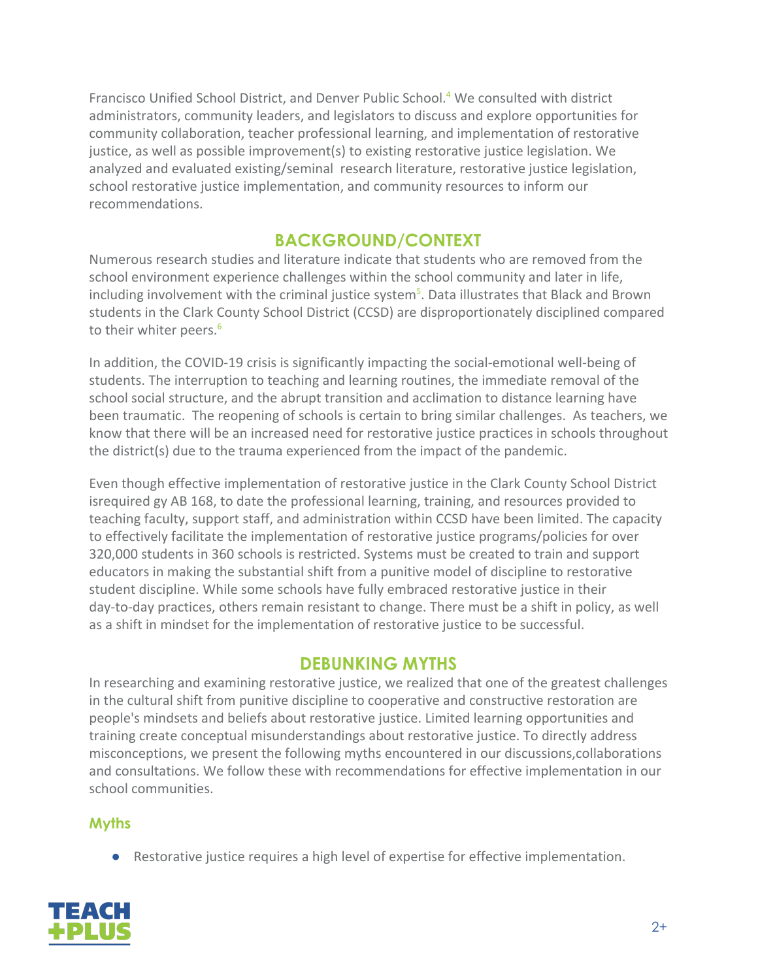Francisco Unified School District, and Denver Public School.<sup>4</sup> We consulted with district administrators, community leaders, and legislators to discuss and explore opportunities for community collaboration, teacher professional learning, and implementation of restorative justice, as well as possible improvement(s) to existing restorative justice legislation. We analyzed and evaluated existing/seminal research literature, restorative justice legislation, school restorative justice implementation, and community resources to inform our recommendations.

# **BACKGROUND/CONTEXT**

Numerous research studies and literature indicate that students who are removed from the school environment experience challenges within the school community and later in life, including involvement with the criminal justice system<sup>5</sup>. Data illustrates that Black and Brown students in the Clark County School District (CCSD) are disproportionately disciplined compared to their whiter peers.<sup>6</sup>

In addition, the COVID-19 crisis is significantly impacting the social-emotional well-being of students. The interruption to teaching and learning routines, the immediate removal of the school social structure, and the abrupt transition and acclimation to distance learning have been traumatic. The reopening of schools is certain to bring similar challenges. As teachers, we know that there will be an increased need for restorative justice practices in schools throughout the district(s) due to the trauma experienced from the impact of the pandemic.

Even though effective implementation of restorative justice in the Clark County School District isrequired gy AB 168, to date the professional learning, training, and resources provided to teaching faculty, support staff, and administration within CCSD have been limited. The capacity to effectively facilitate the implementation of restorative justice programs/policies for over 320,000 students in 360 schools is restricted. Systems must be created to train and support educators in making the substantial shift from a punitive model of discipline to restorative student discipline. While some schools have fully embraced restorative justice in their day-to-day practices, others remain resistant to change. There must be a shift in policy, as well as a shift in mindset for the implementation of restorative justice to be successful.

## **DEBUNKING MYTHS**

In researching and examining restorative justice, we realized that one of the greatest challenges in the cultural shift from punitive discipline to cooperative and constructive restoration are people's mindsets and beliefs about restorative justice. Limited learning opportunities and training create conceptual misunderstandings about restorative justice. To directly address misconceptions, we present the following myths encountered in our discussions,collaborations and consultations. We follow these with recommendations for effective implementation in our school communities.

## **Myths**

● Restorative justice requires a high level of expertise for effective implementation.

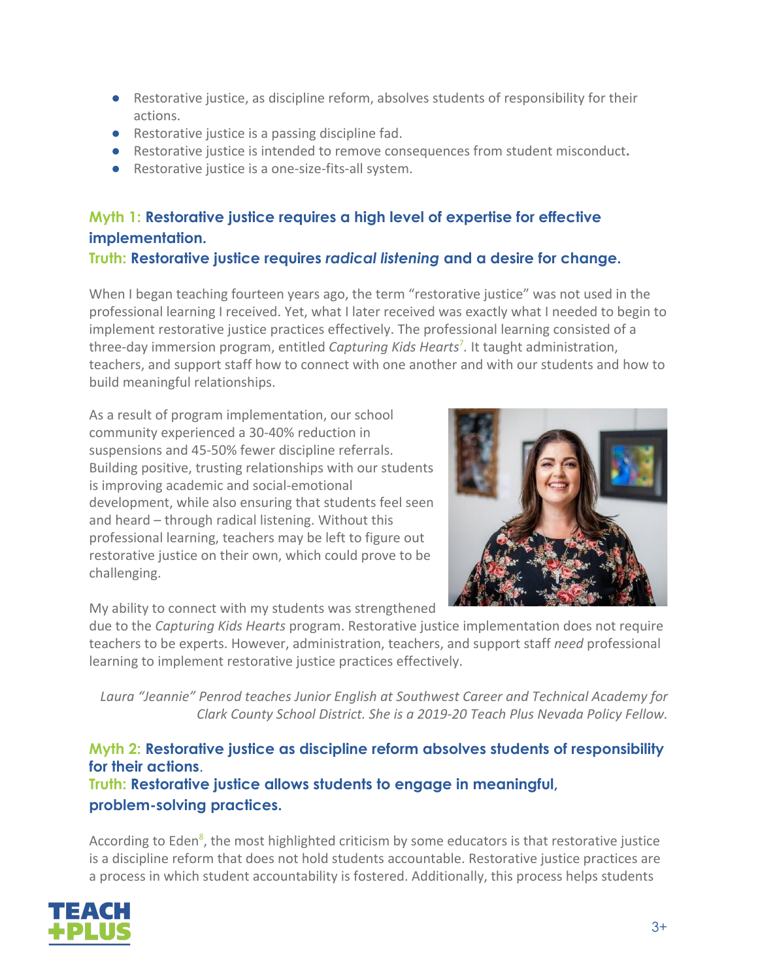- Restorative justice, as discipline reform, absolves students of responsibility for their actions.
- Restorative justice is a passing discipline fad.
- Restorative justice is intended to remove consequences from student misconduct**.**
- Restorative justice is a one-size-fits-all system.

# **Myth 1: Restorative justice requires a high level of expertise for effective implementation.**

## **Truth: Restorative justice requires** *radical listening* **and a desire for change.**

When I began teaching fourteen years ago, the term "restorative justice" was not used in the professional learning I received. Yet, what I later received was exactly what I needed to begin to implement restorative justice practices effectively. The professional learning consisted of a three-day immersion program, entitled *Capturing Kids Hearts*<sup>7</sup> *.* It taught administration, teachers, and support staff how to connect with one another and with our students and how to build meaningful relationships.

As a result of program implementation, our school community experienced a 30-40% reduction in suspensions and 45-50% fewer discipline referrals. Building positive, trusting relationships with our students is improving academic and social-emotional development, while also ensuring that students feel seen and heard – through radical listening. Without this professional learning, teachers may be left to figure out restorative justice on their own, which could prove to be challenging.

My ability to connect with my students was strengthened



due to the *Capturing Kids Hearts* program. Restorative justice implementation does not require teachers to be experts. However, administration, teachers, and support staff *need* professional learning to implement restorative justice practices effectively.

*Laura "Jeannie" Penrod teaches Junior English at Southwest Career and Technical Academy for Clark County School District. She is a 2019-20 Teach Plus Nevada Policy Fellow.*

**Myth 2: Restorative justice as discipline reform absolves students of responsibility for their actions**. **Truth: Restorative justice allows students to engage in meaningful, problem-solving practices.**

According to Eden<sup>8</sup>, the most highlighted criticism by some educators is that restorative justice is a discipline reform that does not hold students accountable. Restorative justice practices are a process in which student accountability is fostered. Additionally, this process helps students

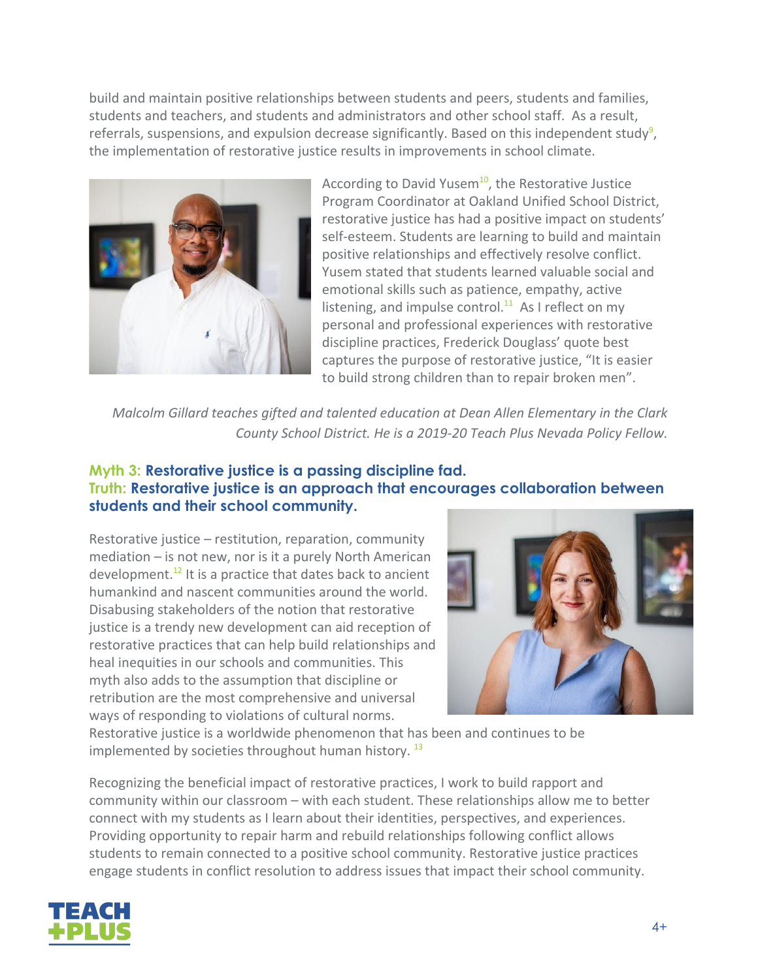build and maintain positive relationships between students and peers, students and families, students and teachers, and students and administrators and other school staff. As a result, referrals, suspensions, and expulsion decrease significantly. Based on this independent study<sup>9</sup>, the implementation of restorative justice results in improvements in school climate.



According to David Yusem<sup>10</sup>, the Restorative Justice Program Coordinator at Oakland Unified School District, restorative justice has had a positive impact on students' self-esteem. Students are learning to build and maintain positive relationships and effectively resolve conflict. Yusem stated that students learned valuable social and emotional skills such as patience, empathy, active listening, and impulse control.<sup>11</sup> As I reflect on my personal and professional experiences with restorative discipline practices, Frederick Douglass' quote best captures the purpose of restorative justice, "It is easier to build strong children than to repair broken men".

*Malcolm Gillard teaches gifted and talented education at Dean Allen Elementary in the Clark County School District. He is a 2019-20 Teach Plus Nevada Policy Fellow.*

### **Myth 3: Restorative justice is a passing discipline fad. Truth: Restorative justice is an approach that encourages collaboration between students and their school community.**

Restorative justice – restitution, reparation, community mediation – is not new, nor is it a purely North American development.<sup>12</sup> It is a practice that dates back to ancient humankind and nascent communities around the world. Disabusing stakeholders of the notion that restorative justice is a trendy new development can aid reception of restorative practices that can help build relationships and heal inequities in our schools and communities. This myth also adds to the assumption that discipline or retribution are the most comprehensive and universal ways of responding to violations of cultural norms.



Restorative justice is a worldwide phenomenon that has been and continues to be implemented by societies throughout human history.<sup>13</sup>

Recognizing the beneficial impact of restorative practices, I work to build rapport and community within our classroom – with each student. These relationships allow me to better connect with my students as I learn about their identities, perspectives, and experiences. Providing opportunity to repair harm and rebuild relationships following conflict allows students to remain connected to a positive school community. Restorative justice practices engage students in conflict resolution to address issues that impact their school community.

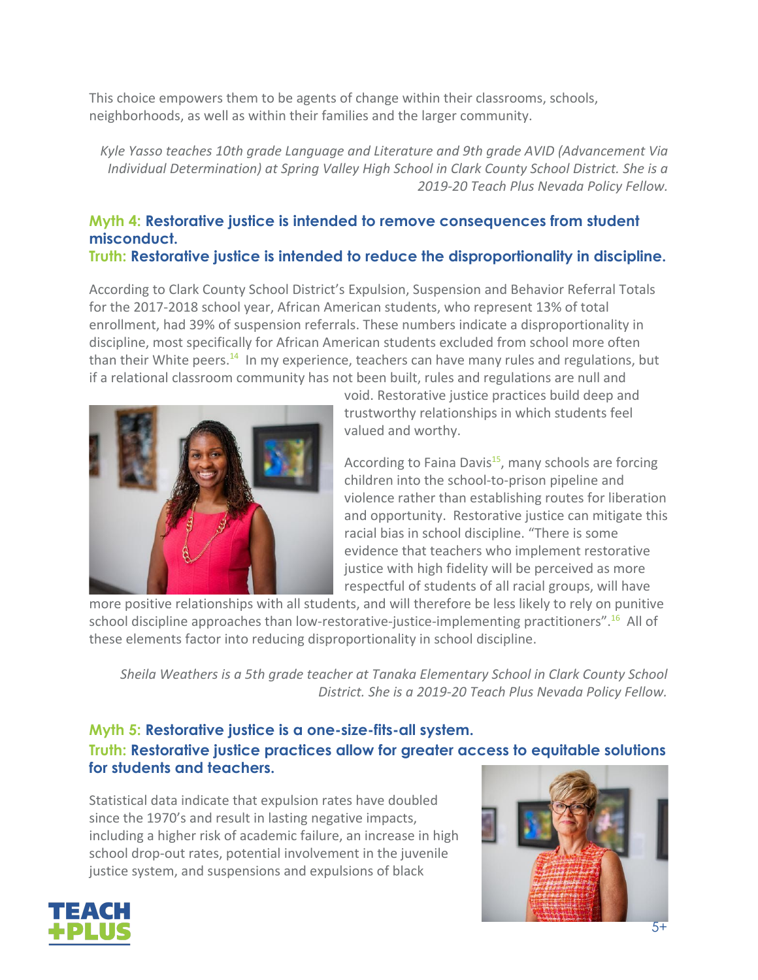This choice empowers them to be agents of change within their classrooms, schools, neighborhoods, as well as within their families and the larger community.

*Kyle Yasso teaches 10th grade Language and Literature and 9th grade AVID (Advancement Via Individual Determination) at Spring Valley High School in Clark County School District. She is a 2019-20 Teach Plus Nevada Policy Fellow.*

### **Myth 4: Restorative justice is intended to remove consequences from student misconduct. Truth: Restorative justice is intended to reduce the disproportionality in discipline.**

According to Clark County School District's Expulsion, Suspension and Behavior Referral Totals for the 2017-2018 school year, African American students, who represent 13% of total enrollment, had 39% of suspension referrals. These numbers indicate a disproportionality in discipline, most specifically for African American students excluded from school more often than their White peers.<sup>14</sup> In my experience, teachers can have many rules and regulations, but if a relational classroom community has not been built, rules and regulations are null and



void. Restorative justice practices build deep and trustworthy relationships in which students feel valued and worthy.

According to Faina Davis<sup>15</sup>, many schools are forcing children into the school-to-prison pipeline and violence rather than establishing routes for liberation and opportunity. Restorative justice can mitigate this racial bias in school discipline. "There is some evidence that teachers who implement restorative justice with high fidelity will be perceived as more respectful of students of all racial groups, will have

more positive relationships with all students, and will therefore be less likely to rely on punitive school discipline approaches than low-restorative-justice-implementing practitioners". <sup>16</sup> All of these elements factor into reducing disproportionality in school discipline.

*Sheila Weathers is a 5th grade teacher at Tanaka Elementary School in Clark County School District. She is a 2019-20 Teach Plus Nevada Policy Fellow.*

## **Myth 5: Restorative justice is a one-size-fits-all system. Truth: Restorative justice practices allow for greater access to equitable solutions for students and teachers.**

Statistical data indicate that expulsion rates have doubled since the 1970's and result in lasting negative impacts, including a higher risk of academic failure, an increase in high school drop-out rates, potential involvement in the juvenile justice system, and suspensions and expulsions of black



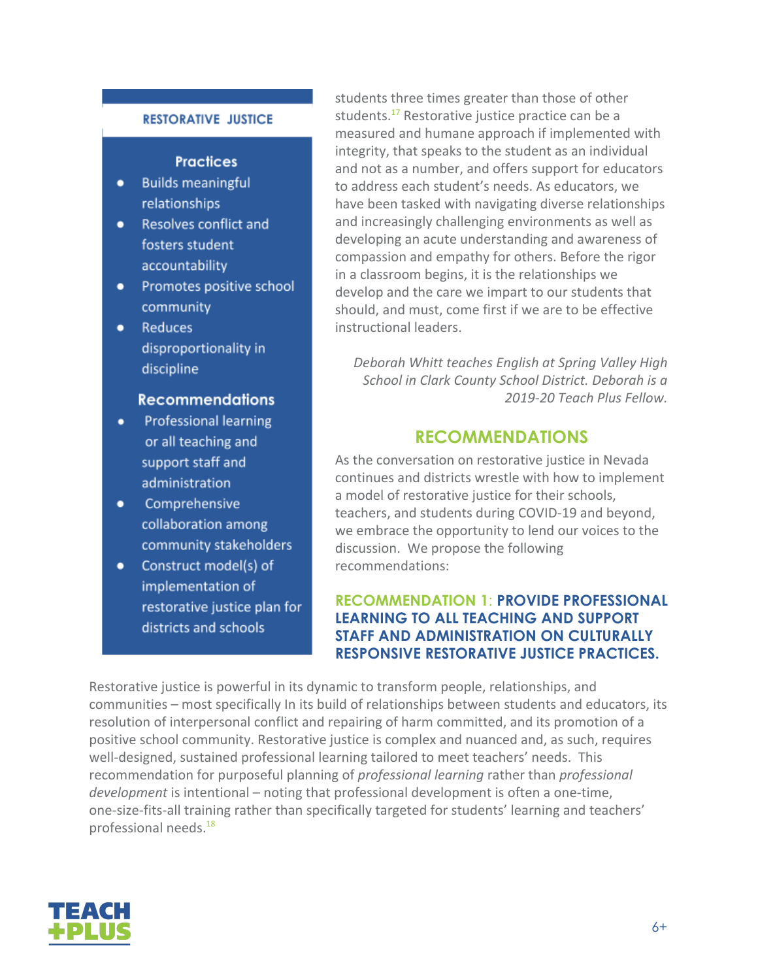#### **RESTORATIVE JUSTICE**

### **Practices**

- **Builds meaningful**  $\bullet$ relationships
- Resolves conflict and fosters student accountability
- Promotes positive school community
- **Reduces**  $\bullet$ disproportionality in discipline

#### **Recommendations**

- Professional learning or all teaching and support staff and administration
- Comprehensive  $\bullet$ collaboration among community stakeholders
- Construct model(s) of  $\bullet$ implementation of restorative justice plan for districts and schools

students three times greater than those of other students.<sup>17</sup> Restorative justice practice can be a measured and humane approach if implemented with integrity, that speaks to the student as an individual and not as a number, and offers support for educators to address each student's needs. As educators, we have been tasked with navigating diverse relationships and increasingly challenging environments as well as developing an acute understanding and awareness of compassion and empathy for others. Before the rigor in a classroom begins, it is the relationships we develop and the care we impart to our students that should, and must, come first if we are to be effective instructional leaders.

*Deborah Whitt teaches English at Spring Valley High School in Clark County School District. Deborah is a 2019-20 Teach Plus Fellow.*

## **RECOMMENDATIONS**

As the conversation on restorative justice in Nevada continues and districts wrestle with how to implement a model of restorative justice for their schools, teachers, and students during COVID-19 and beyond, we embrace the opportunity to lend our voices to the discussion. We propose the following recommendations:

### **RECOMMENDATION 1**: **PROVIDE PROFESSIONAL LEARNING TO ALL TEACHING AND SUPPORT STAFF AND ADMINISTRATION ON CULTURALLY RESPONSIVE RESTORATIVE JUSTICE PRACTICES.**

Restorative justice is powerful in its dynamic to transform people, relationships, and communities – most specifically In its build of relationships between students and educators, its resolution of interpersonal conflict and repairing of harm committed, and its promotion of a positive school community. Restorative justice is complex and nuanced and, as such, requires well-designed, sustained professional learning tailored to meet teachers' needs. This recommendation for purposeful planning of *professional learning* rather than *professional development* is intentional – noting that professional development is often a one-time, one-size-fits-all training rather than specifically targeted for students' learning and teachers' professional needs.<sup>18</sup>

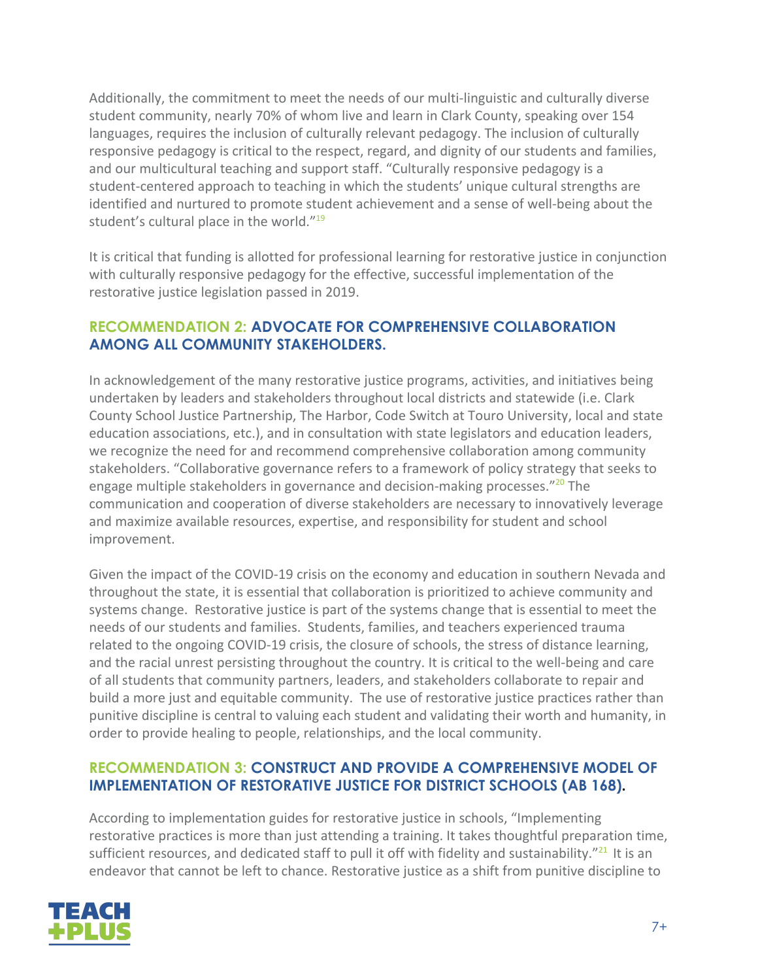Additionally, the commitment to meet the needs of our multi-linguistic and culturally diverse student community, nearly 70% of whom live and learn in Clark County, speaking over 154 languages, requires the inclusion of culturally relevant pedagogy. The inclusion of culturally responsive pedagogy is critical to the respect, regard, and dignity of our students and families, and our multicultural teaching and support staff. "Culturally responsive pedagogy is a student-centered approach to teaching in which the students' unique cultural strengths are identified and nurtured to promote student achievement and a sense of well-being about the student's cultural place in the world."<sup>19</sup>

It is critical that funding is allotted for professional learning for restorative justice in conjunction with culturally responsive pedagogy for the effective, successful implementation of the restorative justice legislation passed in 2019.

### **RECOMMENDATION 2: ADVOCATE FOR COMPREHENSIVE COLLABORATION AMONG ALL COMMUNITY STAKEHOLDERS.**

In acknowledgement of the many restorative justice programs, activities, and initiatives being undertaken by leaders and stakeholders throughout local districts and statewide (i.e. Clark County School Justice Partnership, The Harbor, Code Switch at Touro University, local and state education associations, etc.), and in consultation with state legislators and education leaders, we recognize the need for and recommend comprehensive collaboration among community stakeholders. "Collaborative governance refers to a framework of policy strategy that seeks to engage multiple stakeholders in governance and decision-making processes."<sup>20</sup> The communication and cooperation of diverse stakeholders are necessary to innovatively leverage and maximize available resources, expertise, and responsibility for student and school improvement.

Given the impact of the COVID-19 crisis on the economy and education in southern Nevada and throughout the state, it is essential that collaboration is prioritized to achieve community and systems change. Restorative justice is part of the systems change that is essential to meet the needs of our students and families. Students, families, and teachers experienced trauma related to the ongoing COVID-19 crisis, the closure of schools, the stress of distance learning, and the racial unrest persisting throughout the country. It is critical to the well-being and care of all students that community partners, leaders, and stakeholders collaborate to repair and build a more just and equitable community. The use of restorative justice practices rather than punitive discipline is central to valuing each student and validating their worth and humanity, in order to provide healing to people, relationships, and the local community.

### **RECOMMENDATION 3: CONSTRUCT AND PROVIDE A COMPREHENSIVE MODEL OF IMPLEMENTATION OF RESTORATIVE JUSTICE FOR DISTRICT SCHOOLS (AB 168).**

According to implementation guides for restorative justice in schools, "Implementing restorative practices is more than just attending a training. It takes thoughtful preparation time, sufficient resources, and dedicated staff to pull it off with fidelity and sustainability."<sup>21</sup> It is an endeavor that cannot be left to chance. Restorative justice as a shift from punitive discipline to

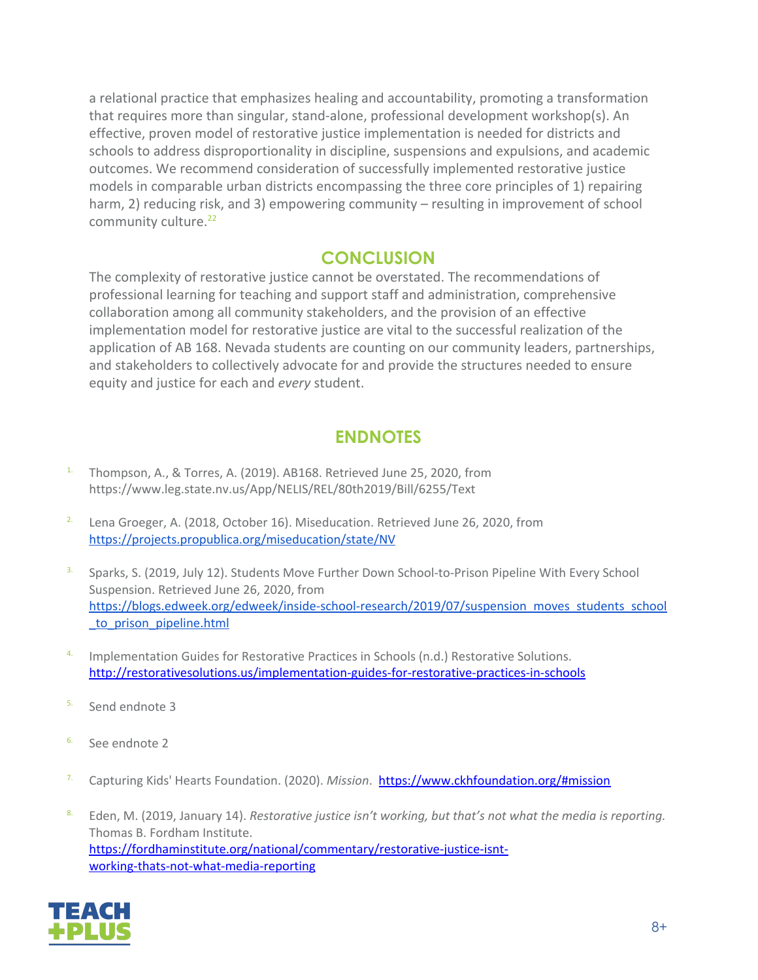a relational practice that emphasizes healing and accountability, promoting a transformation that requires more than singular, stand-alone, professional development workshop(s). An effective, proven model of restorative justice implementation is needed for districts and schools to address disproportionality in discipline, suspensions and expulsions, and academic outcomes. We recommend consideration of successfully implemented restorative justice models in comparable urban districts encompassing the three core principles of 1) repairing harm, 2) reducing risk, and 3) empowering community – resulting in improvement of school community culture.<sup>22</sup>

# **CONCLUSION**

The complexity of restorative justice cannot be overstated. The recommendations of professional learning for teaching and support staff and administration, comprehensive collaboration among all community stakeholders, and the provision of an effective implementation model for restorative justice are vital to the successful realization of the application of AB 168. Nevada students are counting on our community leaders, partnerships, and stakeholders to collectively advocate for and provide the structures needed to ensure equity and justice for each and *every* student.

# **ENDNOTES**

- 1. Thompson, A., & Torres, A. (2019). AB168. Retrieved June 25, 2020, from https://www.leg.state.nv.us/App/NELIS/REL/80th2019/Bill/6255/Text
- <sup>2.</sup> Lena Groeger, A. (2018, October 16). Miseducation. Retrieved June 26, 2020, from <https://projects.propublica.org/miseducation/state/NV>
- <sup>3.</sup> Sparks, S. (2019, July 12). Students Move Further Down School-to-Prison Pipeline With Every School Suspension. Retrieved June 26, 2020, from [https://blogs.edweek.org/edweek/inside-school-research/2019/07/suspension\\_moves\\_students\\_school](https://blogs.edweek.org/edweek/inside-school-research/2019/07/suspension_moves_students_school_to_prison_pipeline.html) [\\_to\\_prison\\_pipeline.html](https://blogs.edweek.org/edweek/inside-school-research/2019/07/suspension_moves_students_school_to_prison_pipeline.html)
- 4. Implementation Guides for Restorative Practices in Schools (n.d.) Restorative Solutions. <http://restorativesolutions.us/implementation-guides-for-restorative-practices-in-schools>
- 5. Send endnote 3
- 6. See endnote 2
- 7. Capturing Kids' Hearts Foundation. (2020). *Mission*. <https://www.ckhfoundation.org/#mission>
- 8. Eden, M. (2019, January 14). *Restorative justice isn't working, but that's not what the media is reporting.* Thomas B. Fordham Institute. [https://fordhaminstitute.org/national/commentary/restorative-justice-isnt](https://fordhaminstitute.org/national/commentary/restorative-justice-isnt-%20%20%20%20%20%20%20%20%20%20%20%20%20%20%20%20%20%20%20%20%20%20%20%20%20%20%20%20%20%20%20%20%20%20%20%20%20%20%20%20%20%20%20%20%20%20%20%20%20%20%20%20%20%20%20%20%20%20%20%20working-thats-not-what-media-reporting)[working-thats-not-what-media-reporting](https://fordhaminstitute.org/national/commentary/restorative-justice-isnt-%20%20%20%20%20%20%20%20%20%20%20%20%20%20%20%20%20%20%20%20%20%20%20%20%20%20%20%20%20%20%20%20%20%20%20%20%20%20%20%20%20%20%20%20%20%20%20%20%20%20%20%20%20%20%20%20%20%20%20%20working-thats-not-what-media-reporting)

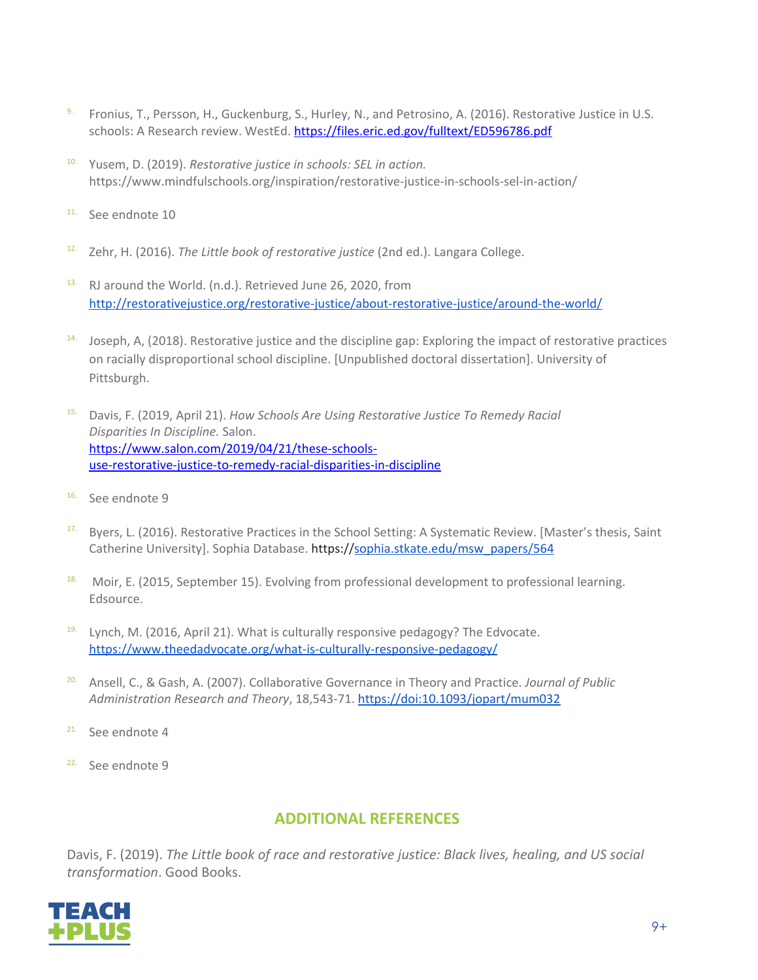- 9. Fronius, T., Persson, H., Guckenburg, S., Hurley, N., and Petrosino, A. (2016). Restorative Justice in U.S. schools: A Research review. WestEd. <https://files.eric.ed.gov/fulltext/ED596786.pdf>
- 10. Yusem, D. (2019). *Restorative justice in schools: SEL in action.* https://www.mindfulschools.org/inspiration/restorative-justice-in-schools-sel-in-action/
- 11. See endnote 10
- 12. Zehr, H. (2016). *The Little book of restorative justice* (2nd ed.). Langara College.
- 13. RJ around the World. (n.d.). Retrieved June 26, 2020, from <http://restorativejustice.org/restorative-justice/about-restorative-justice/around-the-world/>
- 14. Joseph, A, (2018). Restorative justice and the discipline gap: Exploring the impact of restorative practices on racially disproportional school discipline. [Unpublished doctoral dissertation]. University of Pittsburgh.
- 15. Davis, F. (2019, April 21). *How Schools Are Using Restorative Justice To Remedy Racial Disparities In Discipline.* Salon. [https://www.salon.com/2019/04/21/these-schools](https://www.salon.com/2019/04/21/these-schools-%20%20%20%20%20%20%20%20use-restorative-justice-to-remedy-racial-disparities-in-discipline)[use-restorative-justice-to-remedy-racial-disparities-in-discipline](https://www.salon.com/2019/04/21/these-schools-%20%20%20%20%20%20%20%20use-restorative-justice-to-remedy-racial-disparities-in-discipline)
- 16. See endnote 9
- <sup>17.</sup> Byers, L. (2016). Restorative Practices in the School Setting: A Systematic Review. [Master's thesis, Saint Catherine University]. Sophia Database. https:/[/sophia.stkate.edu/msw\\_papers/564](http://sophia.stkate.edu/msw_papers/564)
- <sup>18.</sup> Moir, E. (2015, September 15). Evolving from professional development to professional learning. Edsource.
- $19.$  Lynch, M. (2016, April 21). What is culturally responsive pedagogy? The Edvocate. <https://www.theedadvocate.org/what-is-culturally-responsive-pedagogy/>
- 20. Ansell, C., & Gash, A. (2007). Collaborative Governance in Theory and Practice. *Journal of Public Administration Research and Theory*, 18,543-71. https://doi:10.1093/jopart/mum032
- <sup>21.</sup> See endnote 4
- 22. See endnote 9

## **ADDITIONAL REFERENCES**

Davis, F. (2019). *The Little book of race and restorative justice: Black lives, healing, and US social transformation*. Good Books.